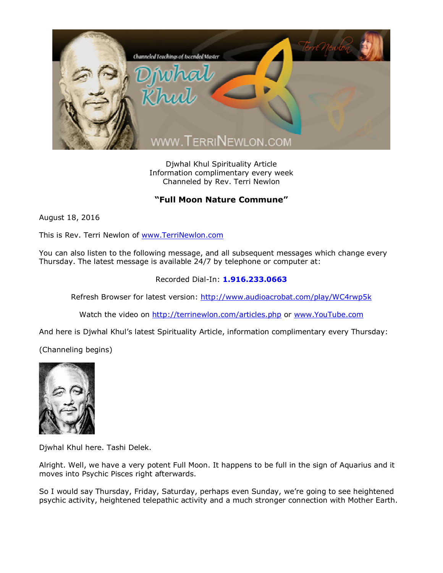

Djwhal Khul Spirituality Article Information complimentary every week Channeled by Rev. Terri Newlon

## **"Full Moon Nature Commune"**

August 18, 2016

This is Rev. Terri Newlon of [www.TerriNewlon.com](http://www.terrinewlon.com/)

You can also listen to the following message, and all subsequent messages which change every Thursday. The latest message is available 24/7 by telephone or computer at:

## Recorded Dial-In: **1.916.233.0663**

Refresh Browser for latest version: <http://www.audioacrobat.com/play/WC4rwp5k>

Watch the video on <http://terrinewlon.com/articles.php> or [www.YouTube.com](http://www.youtube.com/)

And here is Djwhal Khul's latest Spirituality Article, information complimentary every Thursday:

(Channeling begins)



Djwhal Khul here. Tashi Delek.

Alright. Well, we have a very potent Full Moon. It happens to be full in the sign of Aquarius and it moves into Psychic Pisces right afterwards.

So I would say Thursday, Friday, Saturday, perhaps even Sunday, we're going to see heightened psychic activity, heightened telepathic activity and a much stronger connection with Mother Earth.